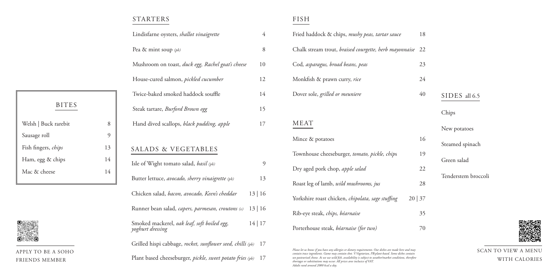| ŦΟ | SIDES all 6.5       |
|----|---------------------|
|    | Chips               |
|    | New potatoes        |
| 16 | Steamed spinach     |
| 19 | Green salad         |
| 22 | Tenderstem broccoli |
| 28 |                     |
| 27 |                     |

- 
- 



## STARTERS

APPLY TO BE A SOHO FRIENDS MEMBER

| I<br>۰.<br>v<br>× |  |
|-------------------|--|
|                   |  |

- 
- 
- 

#### FISH

|                                         |                | Lindisfarne oysters, shallot vinaigrette                        | $\overline{4}$ | Fried had                                                    |
|-----------------------------------------|----------------|-----------------------------------------------------------------|----------------|--------------------------------------------------------------|
|                                         |                | Pea & mint soup (pb)                                            | 8              | Chalk sti                                                    |
|                                         |                | Mushroom on toast, duck egg, Rachel goat's cheese               | 10             | Cod, asp.                                                    |
|                                         |                | House-cured salmon, pickled cucumber                            | 12             | Monkfisl                                                     |
|                                         |                | Twice-baked smoked haddock souffle                              | 14             | Dover so                                                     |
| <b>BITES</b>                            |                | Steak tartare, Burford Brown egg                                | 15             |                                                              |
| Welsh   Buck rarebit                    | 8              | Hand dived scallops, black pudding, apple                       | 17             | <b>MEAT</b>                                                  |
| Sausage roll                            | $\mathfrak{g}$ |                                                                 |                | Mince &                                                      |
| Fish fingers, chips                     | 13             | <b>SALADS &amp; VEGETABLES</b>                                  |                |                                                              |
| Ham, egg & chips                        | 14             | Isle of Wight tomato salad, basil (pb)                          | $\mathfrak{g}$ | Townhou                                                      |
| Mac & cheese                            | 14             |                                                                 |                | Dry aged                                                     |
|                                         |                | Butter lettuce, avocado, sherry vinaigrette (pb)                | 13             | Roast leg                                                    |
|                                         |                | Chicken salad, bacon, avocado, Keen's cheddar                   | 13 16          | Yorkshire                                                    |
|                                         |                | Runner bean salad, capers, parmesan, croutons (v)               | 13 16          | Rib-eye s                                                    |
|                                         |                | Smoked mackerel, oak leaf, soft boiled egg,<br>yoghurt dressing | 14 17          | Porterho                                                     |
| ίŌ                                      |                | Grilled hispi cabbage, rocket, sunflower seed, chilli (pb)      | 17             |                                                              |
| PLY TO BE A SOHO<br><b>IENDS MEMBER</b> |                | Plant based cheeseburger, pickle, sweet potato fries (pb)       | 17             | Please let us knoi<br>contain trace ing<br>un-pasteurised cl |

| Fried haddock & chips, mushy peas, tartar sauce        | 18    |
|--------------------------------------------------------|-------|
| Chalk stream trout, braised courgette, herb mayonnaise | 22    |
| Cod, asparagus, broad beans, peas                      | 23    |
| Monkfish & prawn curry, rice                           | 24    |
| Dover sole, grilled or meuniere                        | 40    |
|                                                        |       |
| MEAT                                                   |       |
| Mince & potatoes                                       | 16    |
| Townhouse cheeseburger, tomato, pickle, chips          | 19    |
| Dry aged pork chop, apple salad                        | 22    |
| Roast leg of lamb, <i>wild mushrooms</i> , jus         | 28    |
| Yorkshire roast chicken, chipolata, sage stuffing      | 20 37 |
| Rib-eye steak, chips, béarnaise                        | 35    |
| Porterhouse steak, béarnaise (for two)                 | 70    |

*Please let us know if you have any allergies or dietary requirements. Our dishes are made here and may contain trace ingredients. Game may contain shot. V:Vegetarian, PB:plant-based. Some dishes contain un-pasteurised cheese. As we use wild fish, availability is subject to weather/market conditions, therefore shortages or substitutions may occur. All prices aree inclusice of VAT. Adults need around 2000 kcal a day.*

| <b>BITES</b>               |    |
|----------------------------|----|
| Welsh   Buck rarebit       | 8  |
| Sausage roll               | Y) |
| Fish fingers, <i>chips</i> | 13 |
| Ham, egg & chips           | 14 |
| Mac & cheese               | 14 |
|                            |    |



SCAN TO VIEW A MENU WITH CALORIES